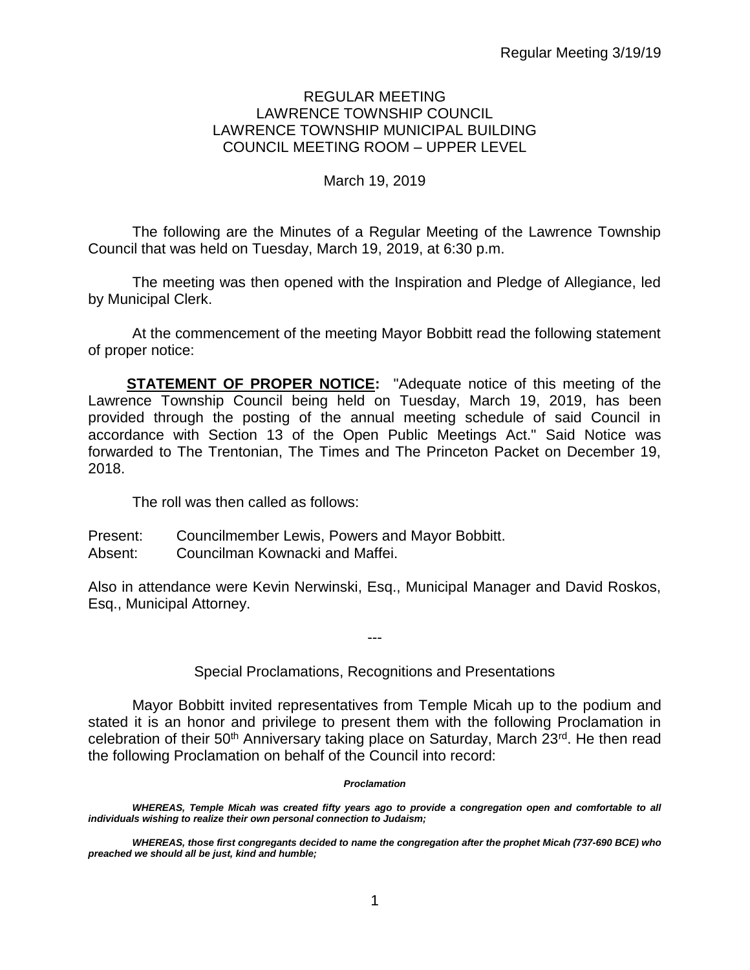#### REGULAR MEETING LAWRENCE TOWNSHIP COUNCIL LAWRENCE TOWNSHIP MUNICIPAL BUILDING COUNCIL MEETING ROOM – UPPER LEVEL

#### March 19, 2019

The following are the Minutes of a Regular Meeting of the Lawrence Township Council that was held on Tuesday, March 19, 2019, at 6:30 p.m.

The meeting was then opened with the Inspiration and Pledge of Allegiance, led by Municipal Clerk.

At the commencement of the meeting Mayor Bobbitt read the following statement of proper notice:

**STATEMENT OF PROPER NOTICE:** "Adequate notice of this meeting of the Lawrence Township Council being held on Tuesday, March 19, 2019, has been provided through the posting of the annual meeting schedule of said Council in accordance with Section 13 of the Open Public Meetings Act." Said Notice was forwarded to The Trentonian, The Times and The Princeton Packet on December 19, 2018.

The roll was then called as follows:

Present: Councilmember Lewis, Powers and Mayor Bobbitt.

Absent: Councilman Kownacki and Maffei.

Also in attendance were Kevin Nerwinski, Esq., Municipal Manager and David Roskos, Esq., Municipal Attorney.

Special Proclamations, Recognitions and Presentations

---

Mayor Bobbitt invited representatives from Temple Micah up to the podium and stated it is an honor and privilege to present them with the following Proclamation in celebration of their  $50<sup>th</sup>$  Anniversary taking place on Saturday, March  $23<sup>rd</sup>$ . He then read the following Proclamation on behalf of the Council into record:

#### *Proclamation*

WHEREAS, Temple Micah was created fifty years ago to provide a congregation open and comfortable to all *individuals wishing to realize their own personal connection to Judaism;*

*WHEREAS, those first congregants decided to name the congregation after the prophet Micah (737-690 BCE) who preached we should all be just, kind and humble;*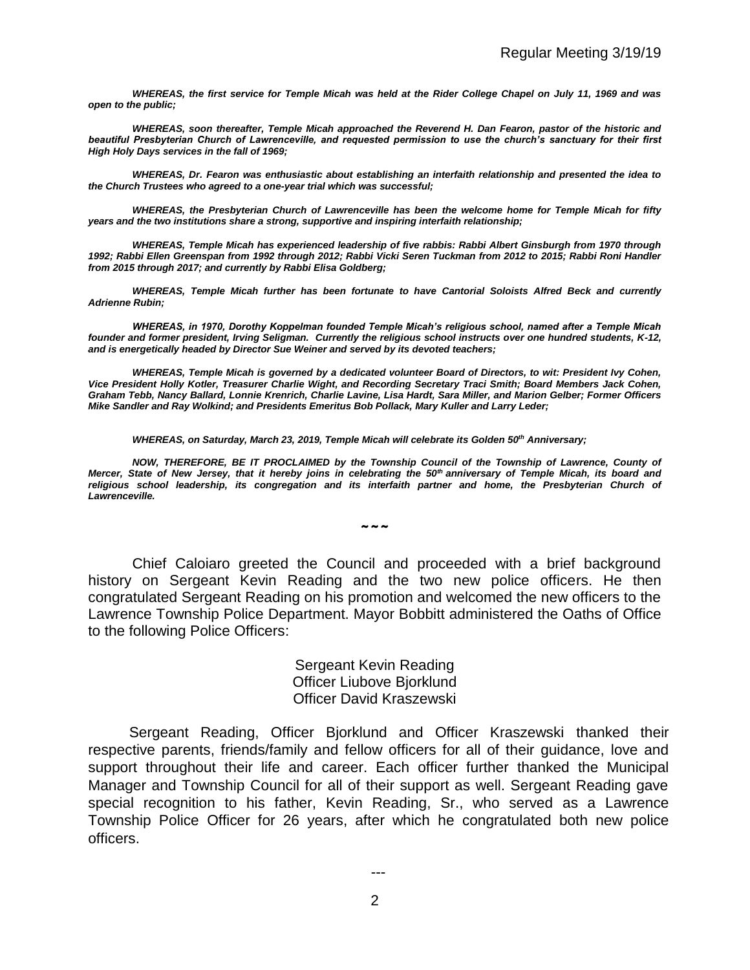*WHEREAS, the first service for Temple Micah was held at the Rider College Chapel on July 11, 1969 and was open to the public;*

*WHEREAS, soon thereafter, Temple Micah approached the Reverend H. Dan Fearon, pastor of the historic and beautiful Presbyterian Church of Lawrenceville, and requested permission to use the church's sanctuary for their first High Holy Days services in the fall of 1969;*

*WHEREAS, Dr. Fearon was enthusiastic about establishing an interfaith relationship and presented the idea to the Church Trustees who agreed to a one-year trial which was successful;*

*WHEREAS, the Presbyterian Church of Lawrenceville has been the welcome home for Temple Micah for fifty years and the two institutions share a strong, supportive and inspiring interfaith relationship;*

*WHEREAS, Temple Micah has experienced leadership of five rabbis: Rabbi Albert Ginsburgh from 1970 through 1992; Rabbi Ellen Greenspan from 1992 through 2012; Rabbi Vicki Seren Tuckman from 2012 to 2015; Rabbi Roni Handler from 2015 through 2017; and currently by Rabbi Elisa Goldberg;*

*WHEREAS, Temple Micah further has been fortunate to have Cantorial Soloists Alfred Beck and currently Adrienne Rubin;*

*WHEREAS, in 1970, Dorothy Koppelman founded Temple Micah's religious school, named after a Temple Micah founder and former president, Irving Seligman. Currently the religious school instructs over one hundred students, K-12, and is energetically headed by Director Sue Weiner and served by its devoted teachers;*

*WHEREAS, Temple Micah is governed by a dedicated volunteer Board of Directors, to wit: President Ivy Cohen, Vice President Holly Kotler, Treasurer Charlie Wight, and Recording Secretary Traci Smith; Board Members Jack Cohen, Graham Tebb, Nancy Ballard, Lonnie Krenrich, Charlie Lavine, Lisa Hardt, Sara Miller, and Marion Gelber; Former Officers Mike Sandler and Ray Wolkind; and Presidents Emeritus Bob Pollack, Mary Kuller and Larry Leder;* 

*WHEREAS, on Saturday, March 23, 2019, Temple Micah will celebrate its Golden 50th Anniversary;* 

*NOW, THEREFORE, BE IT PROCLAIMED by the Township Council of the Township of Lawrence, County of Mercer, State of New Jersey, that it hereby joins in celebrating the 50th anniversary of Temple Micah, its board and*  religious school leadership, its congregation and its interfaith partner and home, the Presbyterian Church of *Lawrenceville.* 

 $\sim\sim\sim$ 

Chief Caloiaro greeted the Council and proceeded with a brief background history on Sergeant Kevin Reading and the two new police officers. He then congratulated Sergeant Reading on his promotion and welcomed the new officers to the Lawrence Township Police Department. Mayor Bobbitt administered the Oaths of Office to the following Police Officers:

> Sergeant Kevin Reading Officer Liubove Bjorklund Officer David Kraszewski

 Sergeant Reading, Officer Bjorklund and Officer Kraszewski thanked their respective parents, friends/family and fellow officers for all of their guidance, love and support throughout their life and career. Each officer further thanked the Municipal Manager and Township Council for all of their support as well. Sergeant Reading gave special recognition to his father, Kevin Reading, Sr., who served as a Lawrence Township Police Officer for 26 years, after which he congratulated both new police officers.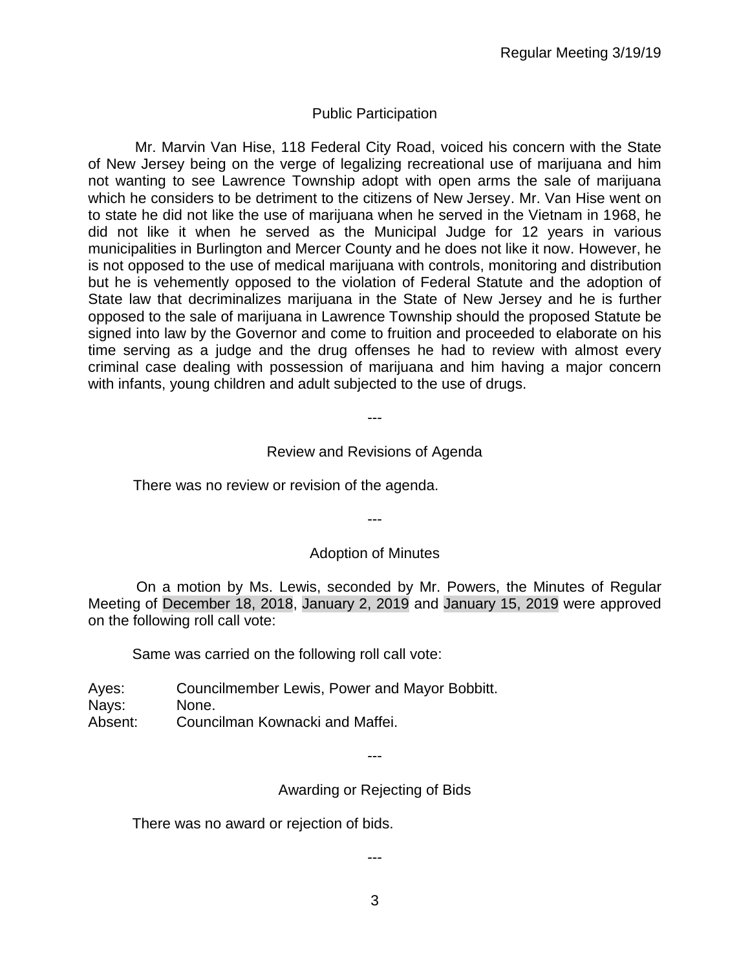# Public Participation

 Mr. Marvin Van Hise, 118 Federal City Road, voiced his concern with the State of New Jersey being on the verge of legalizing recreational use of marijuana and him not wanting to see Lawrence Township adopt with open arms the sale of marijuana which he considers to be detriment to the citizens of New Jersey. Mr. Van Hise went on to state he did not like the use of marijuana when he served in the Vietnam in 1968, he did not like it when he served as the Municipal Judge for 12 years in various municipalities in Burlington and Mercer County and he does not like it now. However, he is not opposed to the use of medical marijuana with controls, monitoring and distribution but he is vehemently opposed to the violation of Federal Statute and the adoption of State law that decriminalizes marijuana in the State of New Jersey and he is further opposed to the sale of marijuana in Lawrence Township should the proposed Statute be signed into law by the Governor and come to fruition and proceeded to elaborate on his time serving as a judge and the drug offenses he had to review with almost every criminal case dealing with possession of marijuana and him having a major concern with infants, young children and adult subjected to the use of drugs.

---

#### Review and Revisions of Agenda

#### There was no review or revision of the agenda.

---

#### Adoption of Minutes

On a motion by Ms. Lewis, seconded by Mr. Powers, the Minutes of Regular Meeting of December 18, 2018, January 2, 2019 and January 15, 2019 were approved on the following roll call vote:

Same was carried on the following roll call vote:

Ayes: Councilmember Lewis, Power and Mayor Bobbitt. Nays: None. Absent: Councilman Kownacki and Maffei.

---

## Awarding or Rejecting of Bids

There was no award or rejection of bids.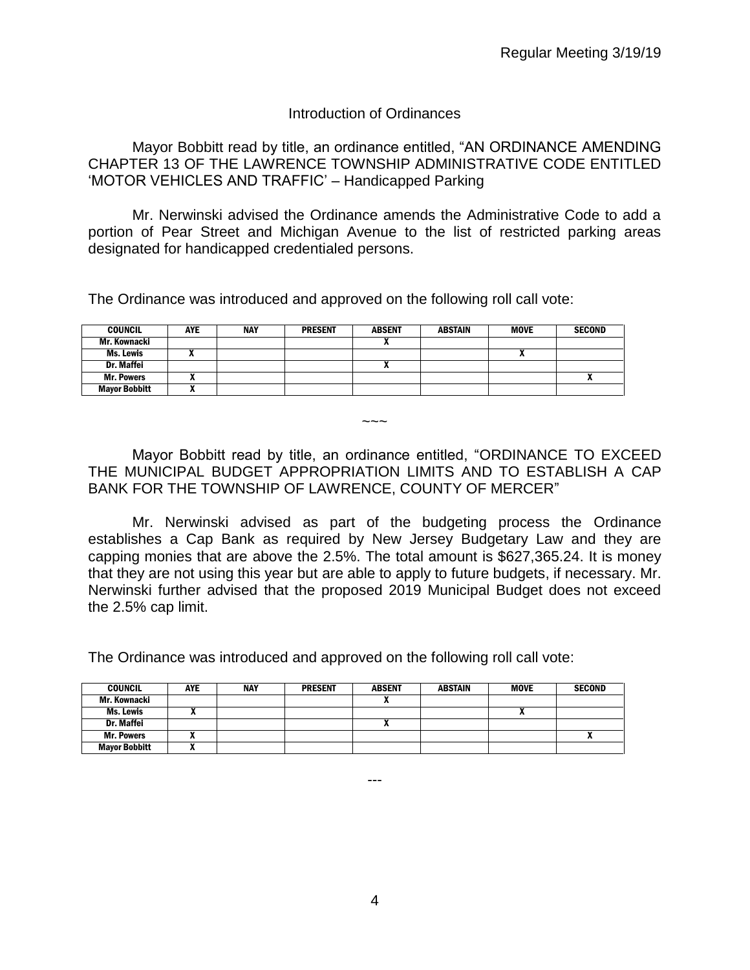#### Introduction of Ordinances

Mayor Bobbitt read by title, an ordinance entitled, "AN ORDINANCE AMENDING CHAPTER 13 OF THE LAWRENCE TOWNSHIP ADMINISTRATIVE CODE ENTITLED 'MOTOR VEHICLES AND TRAFFIC' – Handicapped Parking

Mr. Nerwinski advised the Ordinance amends the Administrative Code to add a portion of Pear Street and Michigan Avenue to the list of restricted parking areas designated for handicapped credentialed persons.

The Ordinance was introduced and approved on the following roll call vote:

| <b>COUNCIL</b>       | <b>AYE</b> | NAY | <b>PRESENT</b> | <b>ABSENT</b> | <b>ABSTAIN</b> | <b>MOVE</b> | <b>SECOND</b> |
|----------------------|------------|-----|----------------|---------------|----------------|-------------|---------------|
| Mr. Kownacki         |            |     |                | ^             |                |             |               |
| Ms. Lewis            |            |     |                |               |                |             |               |
| Dr. Maffei           |            |     |                | $\mathbf{r}$  |                |             |               |
| <b>Mr. Powers</b>    | ,,         |     |                |               |                |             | л             |
| <b>Mayor Bobbitt</b> |            |     |                |               |                |             |               |

Mayor Bobbitt read by title, an ordinance entitled, "ORDINANCE TO EXCEED THE MUNICIPAL BUDGET APPROPRIATION LIMITS AND TO ESTABLISH A CAP BANK FOR THE TOWNSHIP OF LAWRENCE, COUNTY OF MERCER"

 $\sim\sim\sim$ 

Mr. Nerwinski advised as part of the budgeting process the Ordinance establishes a Cap Bank as required by New Jersey Budgetary Law and they are capping monies that are above the 2.5%. The total amount is \$627,365.24. It is money that they are not using this year but are able to apply to future budgets, if necessary. Mr. Nerwinski further advised that the proposed 2019 Municipal Budget does not exceed the 2.5% cap limit.

The Ordinance was introduced and approved on the following roll call vote:

| <b>COUNCIL</b>       | <b>AYE</b> | <b>NAY</b> | <b>PRESENT</b> | <b>ABSENT</b> | <b>ABSTAIN</b> | <b>MOVE</b> | <b>SECOND</b> |
|----------------------|------------|------------|----------------|---------------|----------------|-------------|---------------|
| Mr. Kownacki         |            |            |                |               |                |             |               |
| Ms. Lewis            |            |            |                |               |                |             |               |
| Dr. Maffei           |            |            |                |               |                |             |               |
| <b>Mr. Powers</b>    |            |            |                |               |                |             |               |
| <b>Mayor Bobbitt</b> |            |            |                |               |                |             |               |

4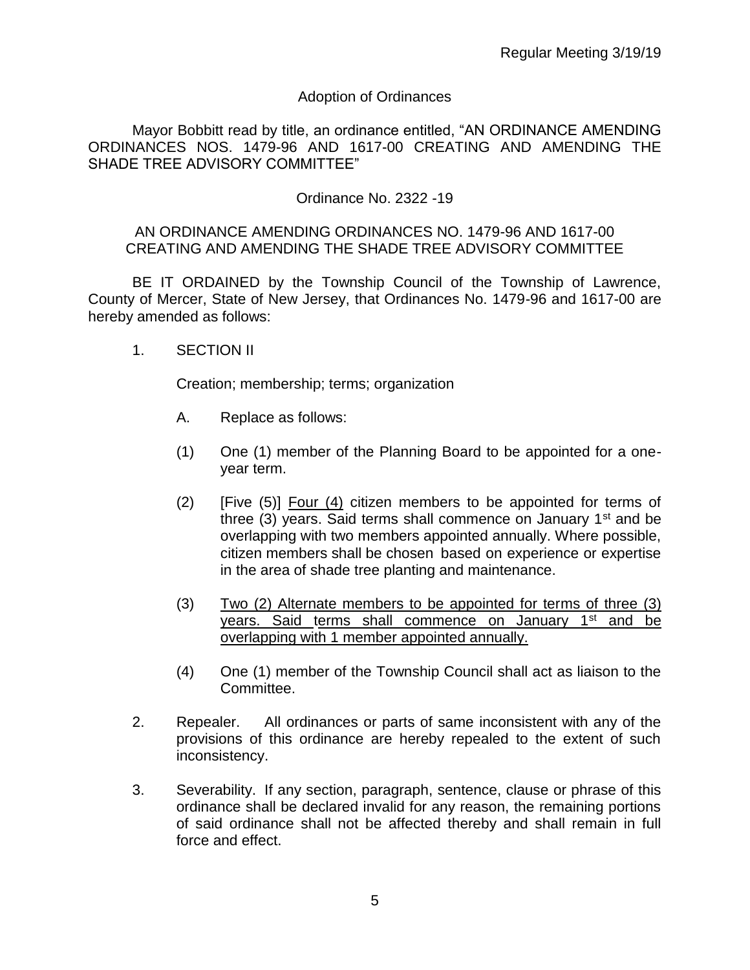# Adoption of Ordinances

Mayor Bobbitt read by title, an ordinance entitled, "AN ORDINANCE AMENDING ORDINANCES NOS. 1479-96 AND 1617-00 CREATING AND AMENDING THE SHADE TREE ADVISORY COMMITTEE"

# Ordinance No. 2322 -19

#### AN ORDINANCE AMENDING ORDINANCES NO. 1479-96 AND 1617-00 CREATING AND AMENDING THE SHADE TREE ADVISORY COMMITTEE

BE IT ORDAINED by the Township Council of the Township of Lawrence, County of Mercer, State of New Jersey, that Ordinances No. 1479-96 and 1617-00 are hereby amended as follows:

1. SECTION II

Creation; membership; terms; organization

- A. Replace as follows:
- (1) One (1) member of the Planning Board to be appointed for a oneyear term.
- (2) [Five (5)] Four (4) citizen members to be appointed for terms of three (3) years. Said terms shall commence on January 1<sup>st</sup> and be overlapping with two members appointed annually. Where possible, citizen members shall be chosen based on experience or expertise in the area of shade tree planting and maintenance.
- (3) Two (2) Alternate members to be appointed for terms of three (3) years. Said terms shall commence on January 1<sup>st</sup> and be overlapping with 1 member appointed annually.
- (4) One (1) member of the Township Council shall act as liaison to the Committee.
- 2. Repealer. All ordinances or parts of same inconsistent with any of the provisions of this ordinance are hereby repealed to the extent of such inconsistency.
- 3. Severability. If any section, paragraph, sentence, clause or phrase of this ordinance shall be declared invalid for any reason, the remaining portions of said ordinance shall not be affected thereby and shall remain in full force and effect.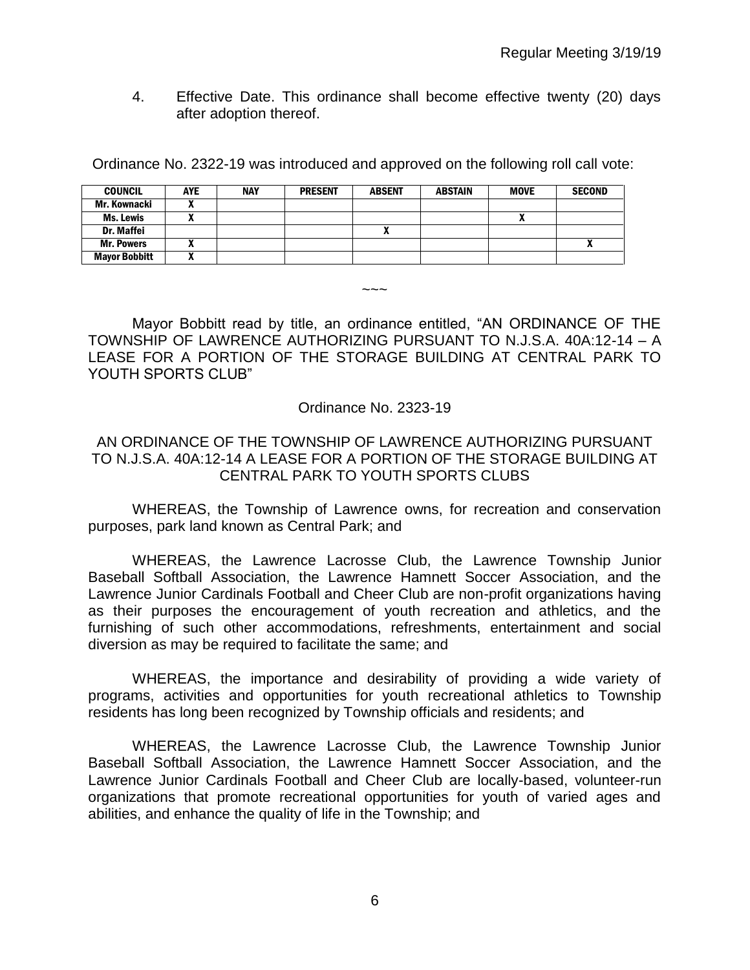4. Effective Date. This ordinance shall become effective twenty (20) days after adoption thereof.

Ordinance No. 2322-19 was introduced and approved on the following roll call vote:

| <b>COUNCIL</b>       | <b>AYE</b> | <b>NAY</b> | <b>PRESENT</b> | <b>ABSENT</b> | <b>ABSTAIN</b> | <b>MOVE</b> | <b>SECOND</b> |
|----------------------|------------|------------|----------------|---------------|----------------|-------------|---------------|
| Mr. Kownacki         |            |            |                |               |                |             |               |
| <b>Ms. Lewis</b>     |            |            |                |               |                |             |               |
| <b>Dr. Maffei</b>    |            |            |                |               |                |             |               |
| <b>Mr. Powers</b>    |            |            |                |               |                |             |               |
| <b>Mayor Bobbitt</b> |            |            |                |               |                |             |               |

Mayor Bobbitt read by title, an ordinance entitled, "AN ORDINANCE OF THE TOWNSHIP OF LAWRENCE AUTHORIZING PURSUANT TO N.J.S.A. 40A:12-14 – A LEASE FOR A PORTION OF THE STORAGE BUILDING AT CENTRAL PARK TO YOUTH SPORTS CLUB"

 $\sim\sim\sim$ 

## Ordinance No. 2323-19

## AN ORDINANCE OF THE TOWNSHIP OF LAWRENCE AUTHORIZING PURSUANT TO N.J.S.A. 40A:12-14 A LEASE FOR A PORTION OF THE STORAGE BUILDING AT CENTRAL PARK TO YOUTH SPORTS CLUBS

WHEREAS, the Township of Lawrence owns, for recreation and conservation purposes, park land known as Central Park; and

WHEREAS, the Lawrence Lacrosse Club, the Lawrence Township Junior Baseball Softball Association, the Lawrence Hamnett Soccer Association, and the Lawrence Junior Cardinals Football and Cheer Club are non-profit organizations having as their purposes the encouragement of youth recreation and athletics, and the furnishing of such other accommodations, refreshments, entertainment and social diversion as may be required to facilitate the same; and

WHEREAS, the importance and desirability of providing a wide variety of programs, activities and opportunities for youth recreational athletics to Township residents has long been recognized by Township officials and residents; and

WHEREAS, the Lawrence Lacrosse Club, the Lawrence Township Junior Baseball Softball Association, the Lawrence Hamnett Soccer Association, and the Lawrence Junior Cardinals Football and Cheer Club are locally-based, volunteer-run organizations that promote recreational opportunities for youth of varied ages and abilities, and enhance the quality of life in the Township; and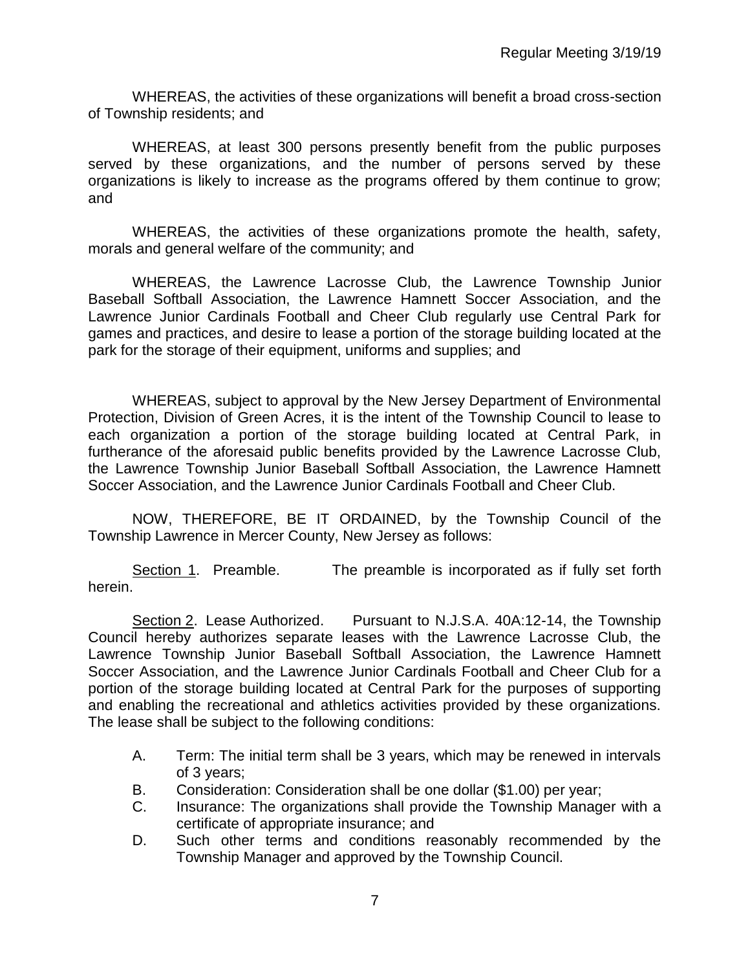WHEREAS, the activities of these organizations will benefit a broad cross-section of Township residents; and

WHEREAS, at least 300 persons presently benefit from the public purposes served by these organizations, and the number of persons served by these organizations is likely to increase as the programs offered by them continue to grow; and

WHEREAS, the activities of these organizations promote the health, safety, morals and general welfare of the community; and

WHEREAS, the Lawrence Lacrosse Club, the Lawrence Township Junior Baseball Softball Association, the Lawrence Hamnett Soccer Association, and the Lawrence Junior Cardinals Football and Cheer Club regularly use Central Park for games and practices, and desire to lease a portion of the storage building located at the park for the storage of their equipment, uniforms and supplies; and

WHEREAS, subject to approval by the New Jersey Department of Environmental Protection, Division of Green Acres, it is the intent of the Township Council to lease to each organization a portion of the storage building located at Central Park, in furtherance of the aforesaid public benefits provided by the Lawrence Lacrosse Club, the Lawrence Township Junior Baseball Softball Association, the Lawrence Hamnett Soccer Association, and the Lawrence Junior Cardinals Football and Cheer Club.

NOW, THEREFORE, BE IT ORDAINED, by the Township Council of the Township Lawrence in Mercer County, New Jersey as follows:

Section 1. Preamble. The preamble is incorporated as if fully set forth herein.

Section 2. Lease Authorized. Pursuant to N.J.S.A. 40A:12-14, the Township Council hereby authorizes separate leases with the Lawrence Lacrosse Club, the Lawrence Township Junior Baseball Softball Association, the Lawrence Hamnett Soccer Association, and the Lawrence Junior Cardinals Football and Cheer Club for a portion of the storage building located at Central Park for the purposes of supporting and enabling the recreational and athletics activities provided by these organizations. The lease shall be subject to the following conditions:

- A. Term: The initial term shall be 3 years, which may be renewed in intervals of 3 years;
- B. Consideration: Consideration shall be one dollar (\$1.00) per year;
- C. Insurance: The organizations shall provide the Township Manager with a certificate of appropriate insurance; and
- D. Such other terms and conditions reasonably recommended by the Township Manager and approved by the Township Council.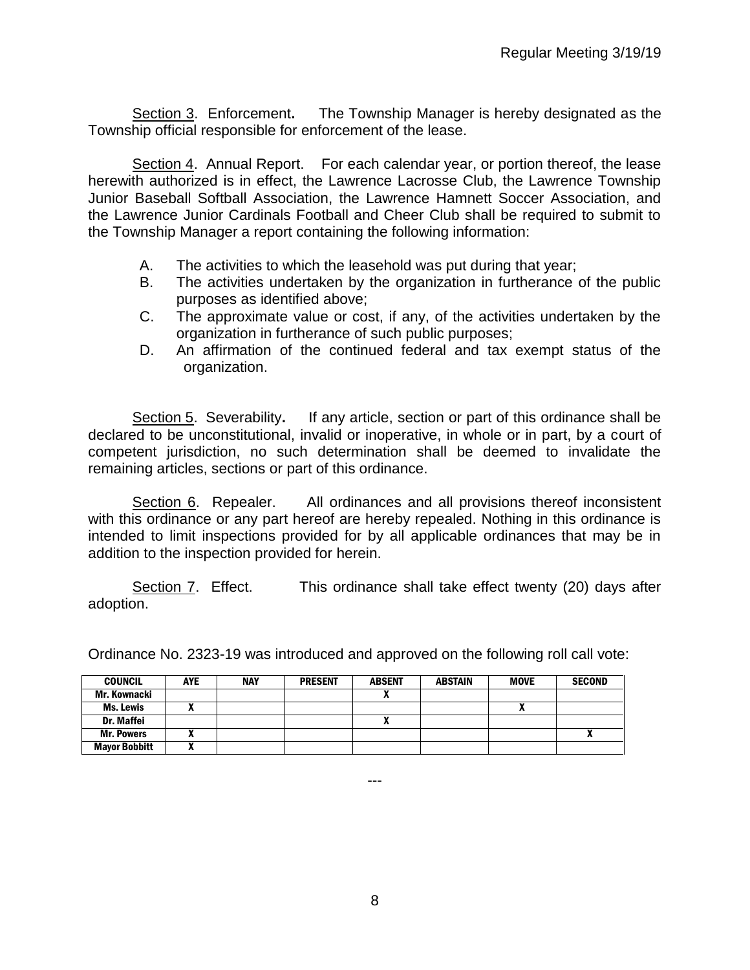Section 3. Enforcement**.** The Township Manager is hereby designated as the Township official responsible for enforcement of the lease.

Section 4. Annual Report. For each calendar year, or portion thereof, the lease herewith authorized is in effect, the Lawrence Lacrosse Club, the Lawrence Township Junior Baseball Softball Association, the Lawrence Hamnett Soccer Association, and the Lawrence Junior Cardinals Football and Cheer Club shall be required to submit to the Township Manager a report containing the following information:

- A. The activities to which the leasehold was put during that year;
- B. The activities undertaken by the organization in furtherance of the public purposes as identified above;
- C. The approximate value or cost, if any, of the activities undertaken by the organization in furtherance of such public purposes;
- D. An affirmation of the continued federal and tax exempt status of the organization.

Section 5. Severability**.** If any article, section or part of this ordinance shall be declared to be unconstitutional, invalid or inoperative, in whole or in part, by a court of competent jurisdiction, no such determination shall be deemed to invalidate the remaining articles, sections or part of this ordinance.

Section 6. Repealer. All ordinances and all provisions thereof inconsistent with this ordinance or any part hereof are hereby repealed. Nothing in this ordinance is intended to limit inspections provided for by all applicable ordinances that may be in addition to the inspection provided for herein.

Section 7. Effect. This ordinance shall take effect twenty (20) days after adoption.

Ordinance No. 2323-19 was introduced and approved on the following roll call vote:

| <b>COUNCIL</b>       | AYE | <b>NAY</b> | <b>PRESENT</b> | <b>ABSENT</b> | <b>ABSTAIN</b> | <b>MOVE</b> | <b>SECOND</b> |
|----------------------|-----|------------|----------------|---------------|----------------|-------------|---------------|
| Mr. Kownacki         |     |            |                |               |                |             |               |
| Ms. Lewis            |     |            |                |               |                | A           |               |
| <b>Dr. Maffei</b>    |     |            |                |               |                |             |               |
| <b>Mr. Powers</b>    |     |            |                |               |                |             |               |
| <b>Mayor Bobbitt</b> |     |            |                |               |                |             |               |

---

8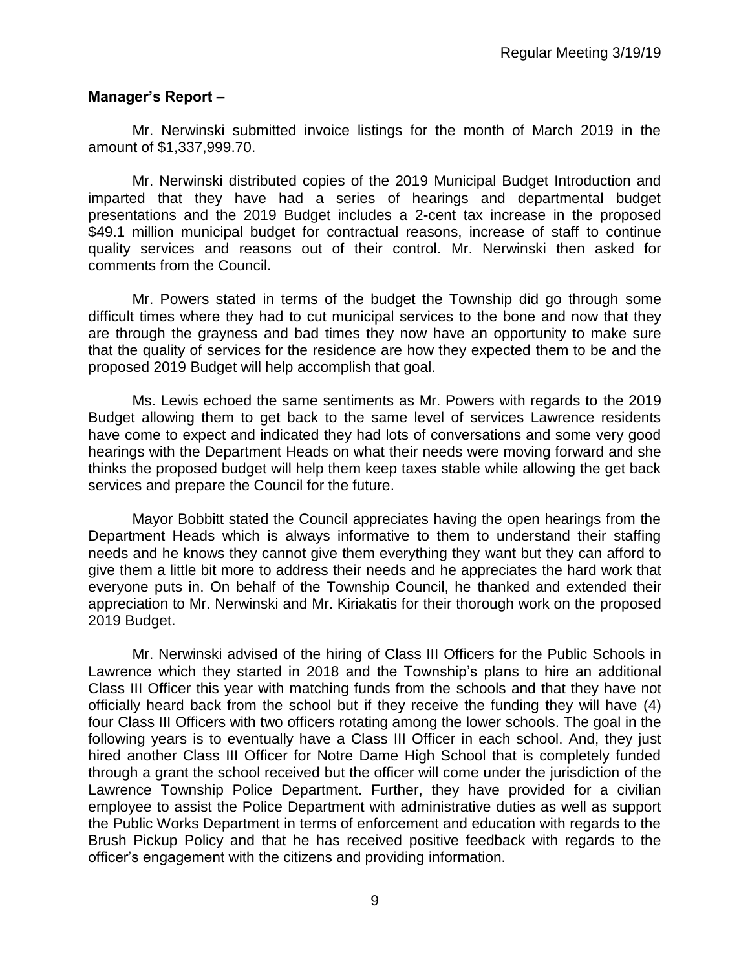## **Manager's Report –**

Mr. Nerwinski submitted invoice listings for the month of March 2019 in the amount of \$1,337,999.70.

Mr. Nerwinski distributed copies of the 2019 Municipal Budget Introduction and imparted that they have had a series of hearings and departmental budget presentations and the 2019 Budget includes a 2-cent tax increase in the proposed \$49.1 million municipal budget for contractual reasons, increase of staff to continue quality services and reasons out of their control. Mr. Nerwinski then asked for comments from the Council.

Mr. Powers stated in terms of the budget the Township did go through some difficult times where they had to cut municipal services to the bone and now that they are through the grayness and bad times they now have an opportunity to make sure that the quality of services for the residence are how they expected them to be and the proposed 2019 Budget will help accomplish that goal.

Ms. Lewis echoed the same sentiments as Mr. Powers with regards to the 2019 Budget allowing them to get back to the same level of services Lawrence residents have come to expect and indicated they had lots of conversations and some very good hearings with the Department Heads on what their needs were moving forward and she thinks the proposed budget will help them keep taxes stable while allowing the get back services and prepare the Council for the future.

Mayor Bobbitt stated the Council appreciates having the open hearings from the Department Heads which is always informative to them to understand their staffing needs and he knows they cannot give them everything they want but they can afford to give them a little bit more to address their needs and he appreciates the hard work that everyone puts in. On behalf of the Township Council, he thanked and extended their appreciation to Mr. Nerwinski and Mr. Kiriakatis for their thorough work on the proposed 2019 Budget.

Mr. Nerwinski advised of the hiring of Class III Officers for the Public Schools in Lawrence which they started in 2018 and the Township's plans to hire an additional Class III Officer this year with matching funds from the schools and that they have not officially heard back from the school but if they receive the funding they will have (4) four Class III Officers with two officers rotating among the lower schools. The goal in the following years is to eventually have a Class III Officer in each school. And, they just hired another Class III Officer for Notre Dame High School that is completely funded through a grant the school received but the officer will come under the jurisdiction of the Lawrence Township Police Department. Further, they have provided for a civilian employee to assist the Police Department with administrative duties as well as support the Public Works Department in terms of enforcement and education with regards to the Brush Pickup Policy and that he has received positive feedback with regards to the officer's engagement with the citizens and providing information.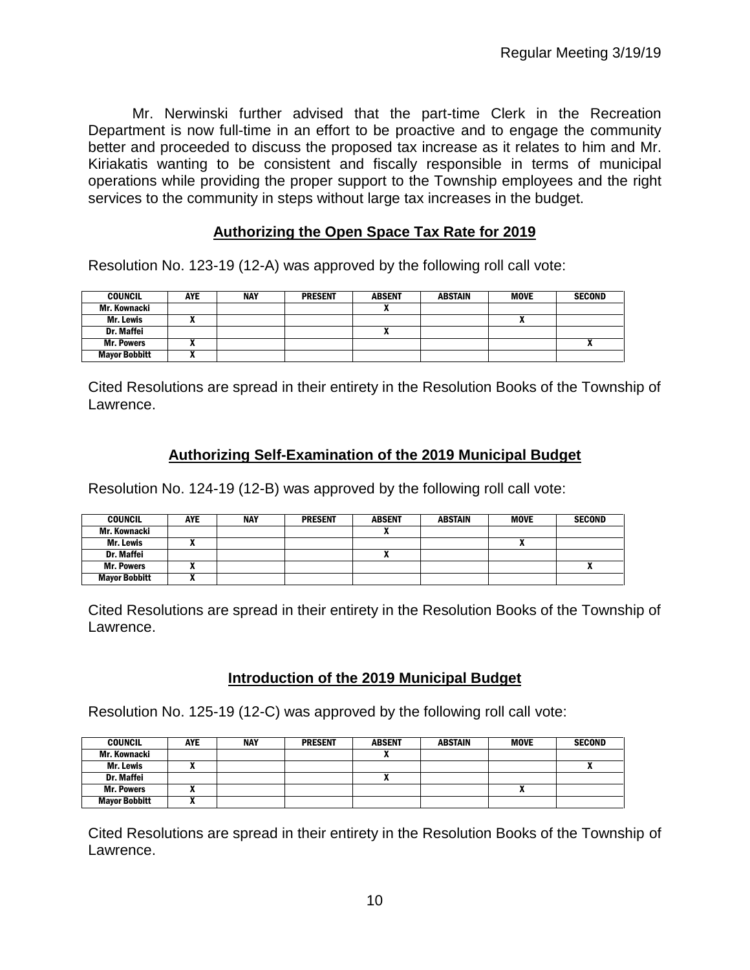Mr. Nerwinski further advised that the part-time Clerk in the Recreation Department is now full-time in an effort to be proactive and to engage the community better and proceeded to discuss the proposed tax increase as it relates to him and Mr. Kiriakatis wanting to be consistent and fiscally responsible in terms of municipal operations while providing the proper support to the Township employees and the right services to the community in steps without large tax increases in the budget.

## **Authorizing the Open Space Tax Rate for 2019**

Resolution No. 123-19 (12-A) was approved by the following roll call vote:

| <b>COUNCIL</b>       | <b>AYE</b> | <b>NAY</b> | <b>PRESENT</b> | <b>ABSENT</b> | ABSTAIN | <b>MOVE</b> | <b>SECOND</b> |
|----------------------|------------|------------|----------------|---------------|---------|-------------|---------------|
| Mr. Kownacki         |            |            |                | ^             |         |             |               |
| Mr. Lewis            |            |            |                |               |         | ,,          |               |
| Dr. Maffei           |            |            |                | ^             |         |             |               |
| <b>Mr. Powers</b>    |            |            |                |               |         |             |               |
| <b>Mayor Bobbitt</b> |            |            |                |               |         |             |               |

Cited Resolutions are spread in their entirety in the Resolution Books of the Township of Lawrence.

## **Authorizing Self-Examination of the 2019 Municipal Budget**

Resolution No. 124-19 (12-B) was approved by the following roll call vote:

| <b>COUNCIL</b>       | <b>AYE</b> | <b>NAY</b> | <b>PRESENT</b> | <b>ABSENT</b>            | ABSTAIN | <b>MOVE</b> | <b>SECOND</b> |
|----------------------|------------|------------|----------------|--------------------------|---------|-------------|---------------|
| Mr. Kownacki         |            |            |                | ^                        |         |             |               |
| Mr. Lewis            |            |            |                |                          |         |             |               |
| Dr. Maffei           |            |            |                | $\overline{\phantom{a}}$ |         |             |               |
| <b>Mr. Powers</b>    |            |            |                |                          |         |             |               |
| <b>Mayor Bobbitt</b> |            |            |                |                          |         |             |               |

Cited Resolutions are spread in their entirety in the Resolution Books of the Township of Lawrence.

## **Introduction of the 2019 Municipal Budget**

Resolution No. 125-19 (12-C) was approved by the following roll call vote:

| <b>COUNCIL</b>       | <b>AYE</b> | <b>NAY</b> | <b>PRESENT</b> | <b>ABSENT</b> | ABSTAIN | <b>MOVE</b> | <b>SECOND</b> |
|----------------------|------------|------------|----------------|---------------|---------|-------------|---------------|
| Mr. Kownacki         |            |            |                | $\mathbf{r}$  |         |             |               |
| Mr. Lewis            |            |            |                |               |         |             |               |
| Dr. Maffei           |            |            |                | ^             |         |             |               |
| <b>Mr. Powers</b>    |            |            |                |               |         |             |               |
| <b>Mayor Bobbitt</b> |            |            |                |               |         |             |               |

Cited Resolutions are spread in their entirety in the Resolution Books of the Township of Lawrence.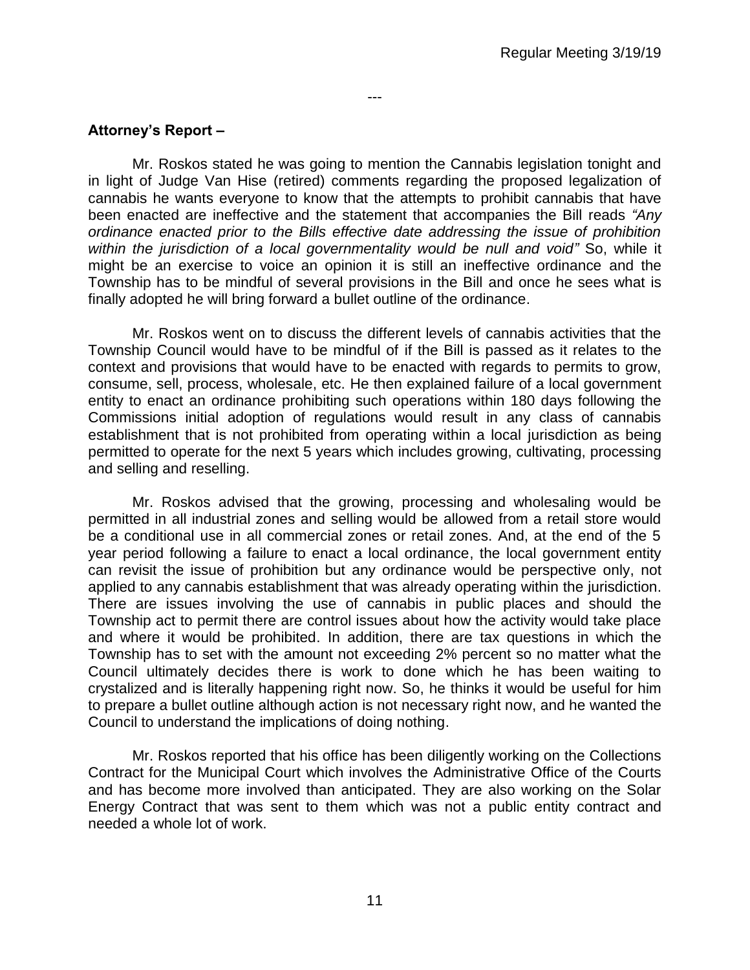# **Attorney's Report –**

Mr. Roskos stated he was going to mention the Cannabis legislation tonight and in light of Judge Van Hise (retired) comments regarding the proposed legalization of cannabis he wants everyone to know that the attempts to prohibit cannabis that have been enacted are ineffective and the statement that accompanies the Bill reads *"Any ordinance enacted prior to the Bills effective date addressing the issue of prohibition within the jurisdiction of a local governmentality would be null and void"* So, while it might be an exercise to voice an opinion it is still an ineffective ordinance and the Township has to be mindful of several provisions in the Bill and once he sees what is finally adopted he will bring forward a bullet outline of the ordinance.

---

Mr. Roskos went on to discuss the different levels of cannabis activities that the Township Council would have to be mindful of if the Bill is passed as it relates to the context and provisions that would have to be enacted with regards to permits to grow, consume, sell, process, wholesale, etc. He then explained failure of a local government entity to enact an ordinance prohibiting such operations within 180 days following the Commissions initial adoption of regulations would result in any class of cannabis establishment that is not prohibited from operating within a local jurisdiction as being permitted to operate for the next 5 years which includes growing, cultivating, processing and selling and reselling.

Mr. Roskos advised that the growing, processing and wholesaling would be permitted in all industrial zones and selling would be allowed from a retail store would be a conditional use in all commercial zones or retail zones. And, at the end of the 5 year period following a failure to enact a local ordinance, the local government entity can revisit the issue of prohibition but any ordinance would be perspective only, not applied to any cannabis establishment that was already operating within the jurisdiction. There are issues involving the use of cannabis in public places and should the Township act to permit there are control issues about how the activity would take place and where it would be prohibited. In addition, there are tax questions in which the Township has to set with the amount not exceeding 2% percent so no matter what the Council ultimately decides there is work to done which he has been waiting to crystalized and is literally happening right now. So, he thinks it would be useful for him to prepare a bullet outline although action is not necessary right now, and he wanted the Council to understand the implications of doing nothing.

Mr. Roskos reported that his office has been diligently working on the Collections Contract for the Municipal Court which involves the Administrative Office of the Courts and has become more involved than anticipated. They are also working on the Solar Energy Contract that was sent to them which was not a public entity contract and needed a whole lot of work.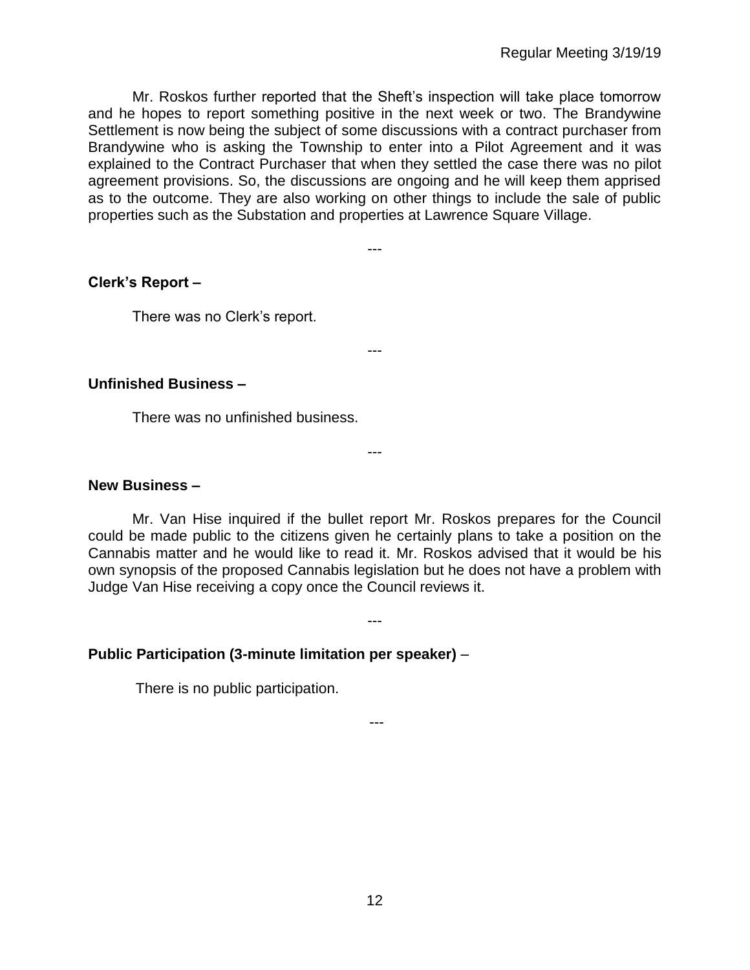Mr. Roskos further reported that the Sheft's inspection will take place tomorrow and he hopes to report something positive in the next week or two. The Brandywine Settlement is now being the subject of some discussions with a contract purchaser from Brandywine who is asking the Township to enter into a Pilot Agreement and it was explained to the Contract Purchaser that when they settled the case there was no pilot agreement provisions. So, the discussions are ongoing and he will keep them apprised as to the outcome. They are also working on other things to include the sale of public properties such as the Substation and properties at Lawrence Square Village.

---

# **Clerk's Report –**

There was no Clerk's report.

---

---

## **Unfinished Business –**

There was no unfinished business.

#### **New Business –**

Mr. Van Hise inquired if the bullet report Mr. Roskos prepares for the Council could be made public to the citizens given he certainly plans to take a position on the Cannabis matter and he would like to read it. Mr. Roskos advised that it would be his own synopsis of the proposed Cannabis legislation but he does not have a problem with Judge Van Hise receiving a copy once the Council reviews it.

---

**Public Participation (3-minute limitation per speaker)** –

There is no public participation.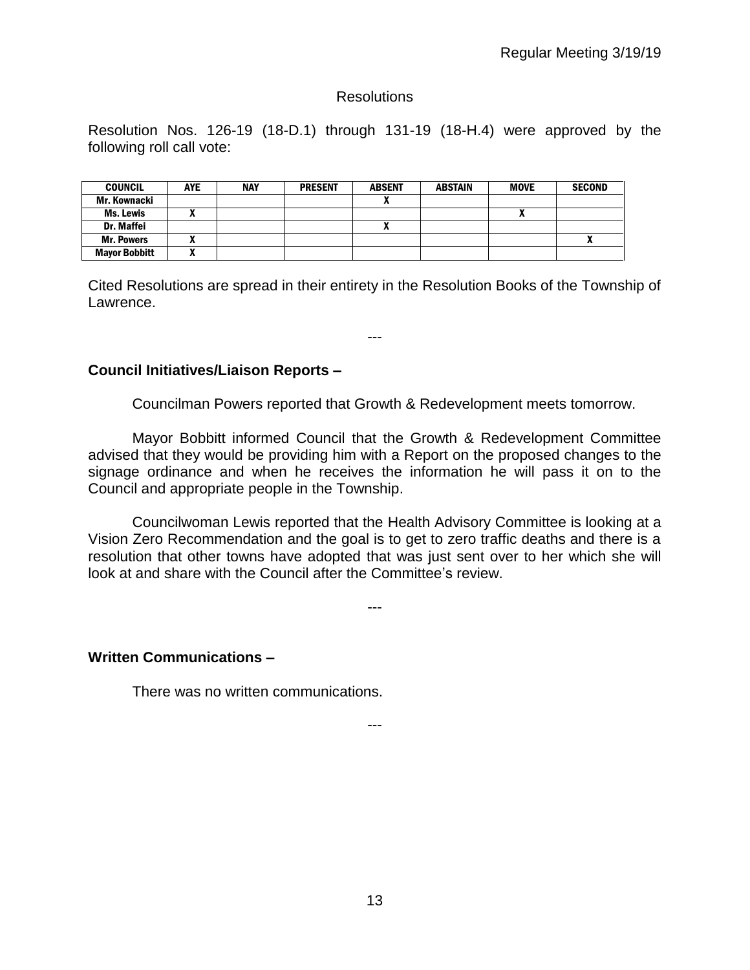## **Resolutions**

Resolution Nos. 126-19 (18-D.1) through 131-19 (18-H.4) were approved by the following roll call vote:

| <b>COUNCIL</b>       | <b>AYE</b> | <b>NAY</b> | <b>PRESENT</b> | <b>ABSENT</b> | <b>ABSTAIN</b> | <b>MOVE</b> | <b>SECOND</b> |
|----------------------|------------|------------|----------------|---------------|----------------|-------------|---------------|
| Mr. Kownacki         |            |            |                |               |                |             |               |
| Ms. Lewis            |            |            |                |               |                |             |               |
| Dr. Maffei           |            |            |                |               |                |             |               |
| <b>Mr. Powers</b>    | n          |            |                |               |                |             | ,,            |
| <b>Mayor Bobbitt</b> |            |            |                |               |                |             |               |

Cited Resolutions are spread in their entirety in the Resolution Books of the Township of Lawrence.

---

**Council Initiatives/Liaison Reports –**

Councilman Powers reported that Growth & Redevelopment meets tomorrow.

Mayor Bobbitt informed Council that the Growth & Redevelopment Committee advised that they would be providing him with a Report on the proposed changes to the signage ordinance and when he receives the information he will pass it on to the Council and appropriate people in the Township.

Councilwoman Lewis reported that the Health Advisory Committee is looking at a Vision Zero Recommendation and the goal is to get to zero traffic deaths and there is a resolution that other towns have adopted that was just sent over to her which she will look at and share with the Council after the Committee's review.

---

## **Written Communications –**

There was no written communications.